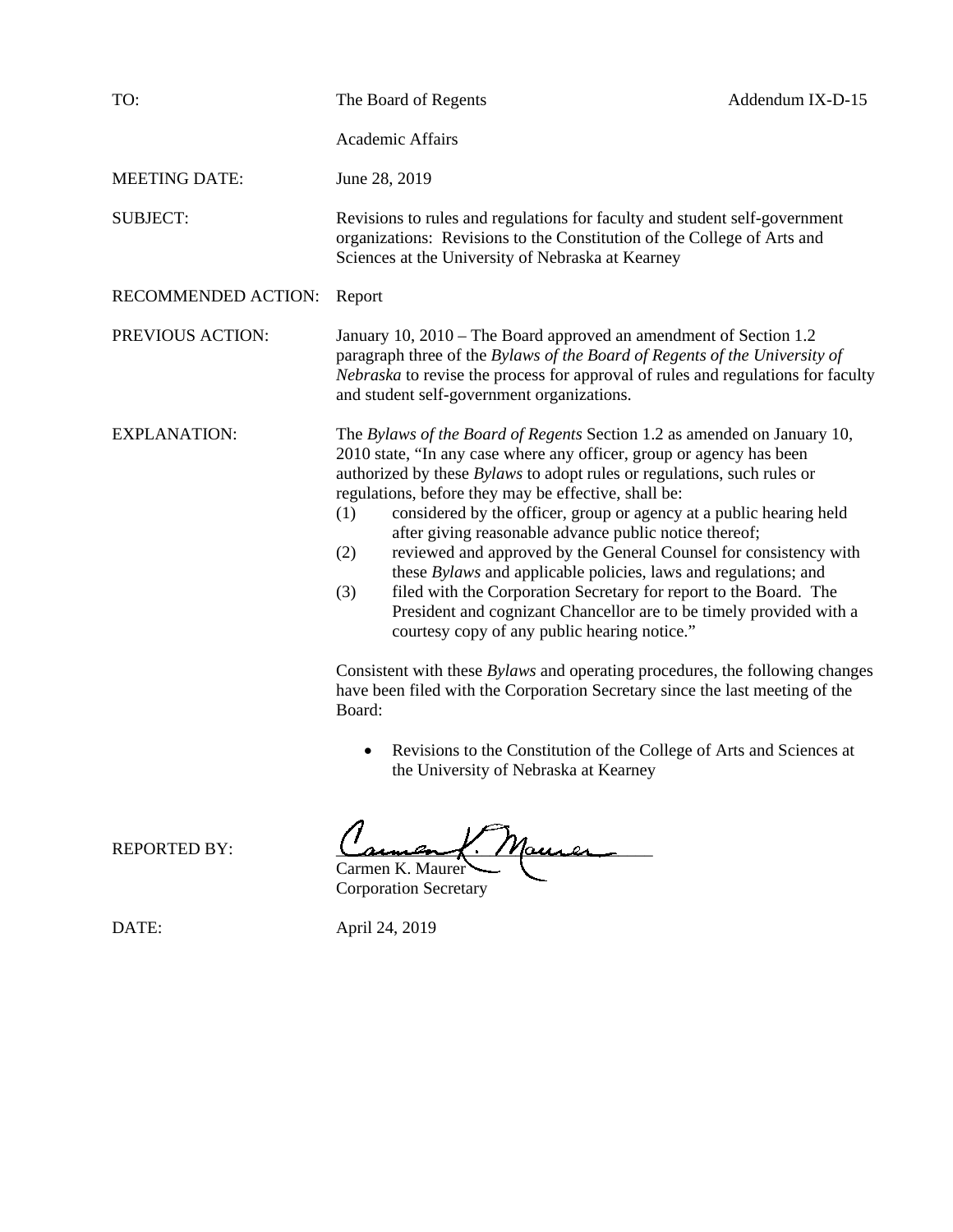| Academic Affairs                                                                                                                                                                                                                                                                                                                                                                                                                                                                                                                                                                                                                                                                                                                                                                                                |                                                                                                                                                                                                                                                                                         |
|-----------------------------------------------------------------------------------------------------------------------------------------------------------------------------------------------------------------------------------------------------------------------------------------------------------------------------------------------------------------------------------------------------------------------------------------------------------------------------------------------------------------------------------------------------------------------------------------------------------------------------------------------------------------------------------------------------------------------------------------------------------------------------------------------------------------|-----------------------------------------------------------------------------------------------------------------------------------------------------------------------------------------------------------------------------------------------------------------------------------------|
| June 28, 2019                                                                                                                                                                                                                                                                                                                                                                                                                                                                                                                                                                                                                                                                                                                                                                                                   |                                                                                                                                                                                                                                                                                         |
| Revisions to rules and regulations for faculty and student self-government<br>organizations: Revisions to the Constitution of the College of Arts and<br>Sciences at the University of Nebraska at Kearney                                                                                                                                                                                                                                                                                                                                                                                                                                                                                                                                                                                                      |                                                                                                                                                                                                                                                                                         |
| Report                                                                                                                                                                                                                                                                                                                                                                                                                                                                                                                                                                                                                                                                                                                                                                                                          |                                                                                                                                                                                                                                                                                         |
| January 10, 2010 – The Board approved an amendment of Section 1.2<br>paragraph three of the Bylaws of the Board of Regents of the University of<br>Nebraska to revise the process for approval of rules and regulations for faculty<br>and student self-government organizations.                                                                                                                                                                                                                                                                                                                                                                                                                                                                                                                               |                                                                                                                                                                                                                                                                                         |
| The Bylaws of the Board of Regents Section 1.2 as amended on January 10,<br>2010 state, "In any case where any officer, group or agency has been<br>authorized by these <i>Bylaws</i> to adopt rules or regulations, such rules or<br>regulations, before they may be effective, shall be:<br>(1)<br>after giving reasonable advance public notice thereof;<br>(2)<br>these <i>Bylaws</i> and applicable policies, laws and regulations; and<br>filed with the Corporation Secretary for report to the Board. The<br>(3)<br>courtesy copy of any public hearing notice."<br>Consistent with these <i>Bylaws</i> and operating procedures, the following changes<br>have been filed with the Corporation Secretary since the last meeting of the<br>Board:<br>$\bullet$<br>the University of Nebraska at Kearney | considered by the officer, group or agency at a public hearing held<br>reviewed and approved by the General Counsel for consistency with<br>President and cognizant Chancellor are to be timely provided with a<br>Revisions to the Constitution of the College of Arts and Sciences at |
|                                                                                                                                                                                                                                                                                                                                                                                                                                                                                                                                                                                                                                                                                                                                                                                                                 | $\sqrt{ }$<br>$\sim$                                                                                                                                                                                                                                                                    |

REPORTED BY:  $\frac{C_{a\mu}C_{a\mu}}{C_{a\mu}C_{a\mu}}$ Carmen K. Maurer

Corporation Secretary

DATE: April 24, 2019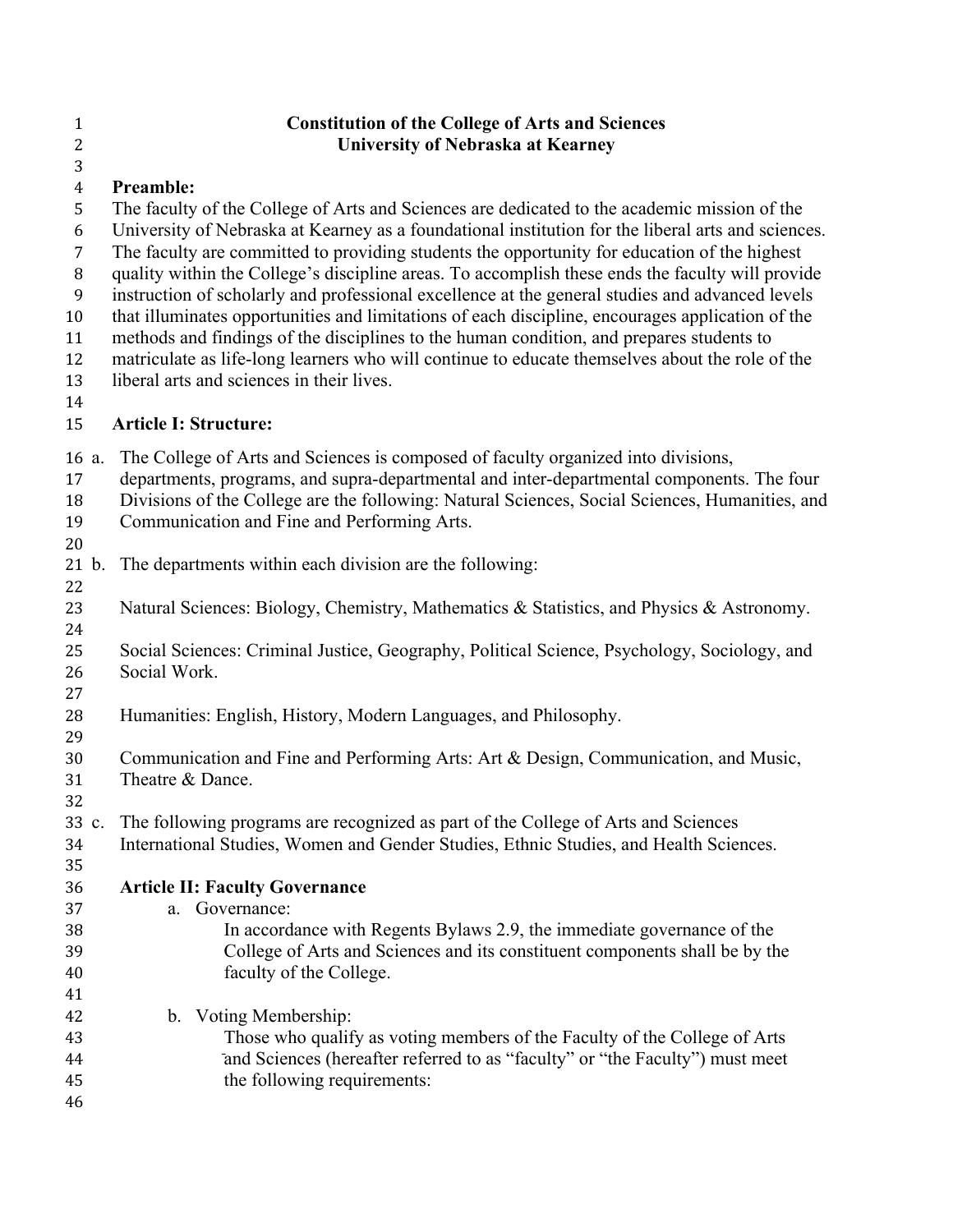## **Constitution of the College of Arts and Sciences University of Nebraska at Kearney Preamble:**  The faculty of the College of Arts and Sciences are dedicated to the academic mission of the University of Nebraska at Kearney as a foundational institution for the liberal arts and sciences. The faculty are committed to providing students the opportunity for education of the highest quality within the College's discipline areas. To accomplish these ends the faculty will provide instruction of scholarly and professional excellence at the general studies and advanced levels that illuminates opportunities and limitations of each discipline, encourages application of the methods and findings of the disciplines to the human condition, and prepares students to matriculate as life-long learners who will continue to educate themselves about the role of the liberal arts and sciences in their lives. **Article I: Structure:**  a. The College of Arts and Sciences is composed of faculty organized into divisions, departments, programs, and supra-departmental and inter-departmental components. The four Divisions of the College are the following: Natural Sciences, Social Sciences, Humanities, and Communication and Fine and Performing Arts. b. The departments within each division are the following: 23 Natural Sciences: Biology, Chemistry, Mathematics & Statistics, and Physics & Astronomy. Social Sciences: Criminal Justice, Geography, Political Science, Psychology, Sociology, and Social Work. Humanities: English, History, Modern Languages, and Philosophy. Communication and Fine and Performing Arts: Art & Design, Communication, and Music, Theatre & Dance. c. The following programs are recognized as part of the College of Arts and Sciences International Studies, Women and Gender Studies, Ethnic Studies, and Health Sciences. **Article II: Faculty Governance** a. Governance: In accordance with Regents Bylaws 2.9, the immediate governance of the College of Arts and Sciences and its constituent components shall be by the faculty of the College. b. Voting Membership: Those who qualify as voting members of the Faculty of the College of Arts and Sciences (hereafter referred to as "faculty" or "the Faculty") must meet

the following requirements: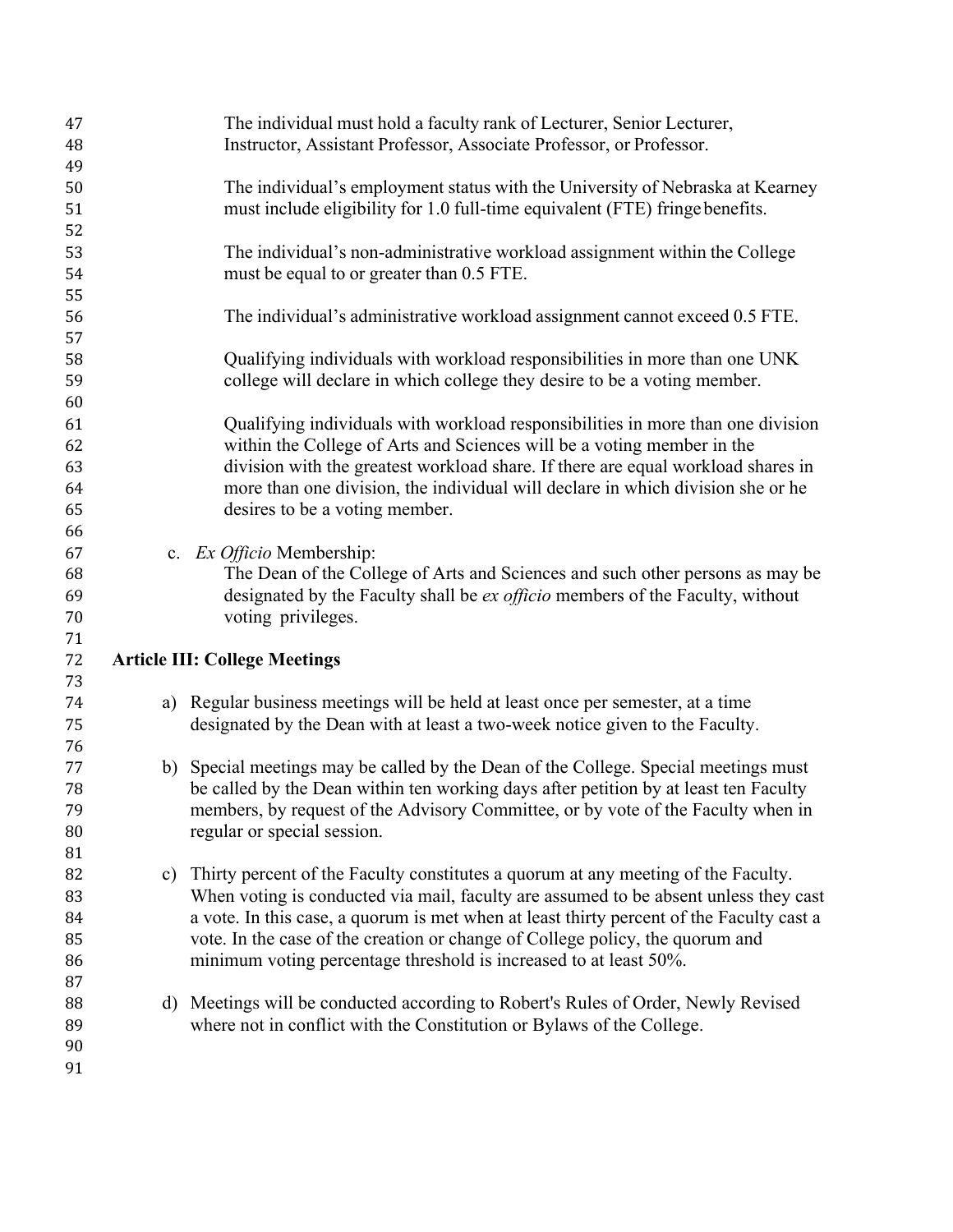| 47 |               | The individual must hold a faculty rank of Lecturer, Senior Lecturer,                    |
|----|---------------|------------------------------------------------------------------------------------------|
| 48 |               | Instructor, Assistant Professor, Associate Professor, or Professor.                      |
| 49 |               |                                                                                          |
| 50 |               | The individual's employment status with the University of Nebraska at Kearney            |
| 51 |               | must include eligibility for 1.0 full-time equivalent (FTE) fringe benefits.             |
| 52 |               |                                                                                          |
| 53 |               | The individual's non-administrative workload assignment within the College               |
| 54 |               | must be equal to or greater than 0.5 FTE.                                                |
| 55 |               |                                                                                          |
| 56 |               | The individual's administrative workload assignment cannot exceed 0.5 FTE.               |
| 57 |               |                                                                                          |
| 58 |               | Qualifying individuals with workload responsibilities in more than one UNK               |
| 59 |               | college will declare in which college they desire to be a voting member.                 |
| 60 |               |                                                                                          |
| 61 |               | Qualifying individuals with workload responsibilities in more than one division          |
| 62 |               | within the College of Arts and Sciences will be a voting member in the                   |
| 63 |               | division with the greatest workload share. If there are equal workload shares in         |
| 64 |               | more than one division, the individual will declare in which division she or he          |
| 65 |               | desires to be a voting member.                                                           |
| 66 |               |                                                                                          |
| 67 |               | c. Ex Officio Membership:                                                                |
| 68 |               | The Dean of the College of Arts and Sciences and such other persons as may be            |
| 69 |               | designated by the Faculty shall be <i>ex officio</i> members of the Faculty, without     |
| 70 |               | voting privileges.                                                                       |
| 71 |               |                                                                                          |
| 72 |               | <b>Article III: College Meetings</b>                                                     |
| 73 |               |                                                                                          |
| 74 |               | a) Regular business meetings will be held at least once per semester, at a time          |
| 75 |               | designated by the Dean with at least a two-week notice given to the Faculty.             |
| 76 |               |                                                                                          |
| 77 |               | b) Special meetings may be called by the Dean of the College. Special meetings must      |
| 78 |               | be called by the Dean within ten working days after petition by at least ten Faculty     |
| 79 |               | members, by request of the Advisory Committee, or by vote of the Faculty when in         |
| 80 |               | regular or special session.                                                              |
| 81 |               |                                                                                          |
| 82 | $\mathbf{c})$ | Thirty percent of the Faculty constitutes a quorum at any meeting of the Faculty.        |
| 83 |               | When voting is conducted via mail, faculty are assumed to be absent unless they cast     |
| 84 |               | a vote. In this case, a quorum is met when at least thirty percent of the Faculty cast a |
| 85 |               | vote. In the case of the creation or change of College policy, the quorum and            |
| 86 |               | minimum voting percentage threshold is increased to at least 50%.                        |
| 87 |               |                                                                                          |
| 88 |               | d) Meetings will be conducted according to Robert's Rules of Order, Newly Revised        |
| 89 |               | where not in conflict with the Constitution or Bylaws of the College.                    |
| 90 |               |                                                                                          |
| 91 |               |                                                                                          |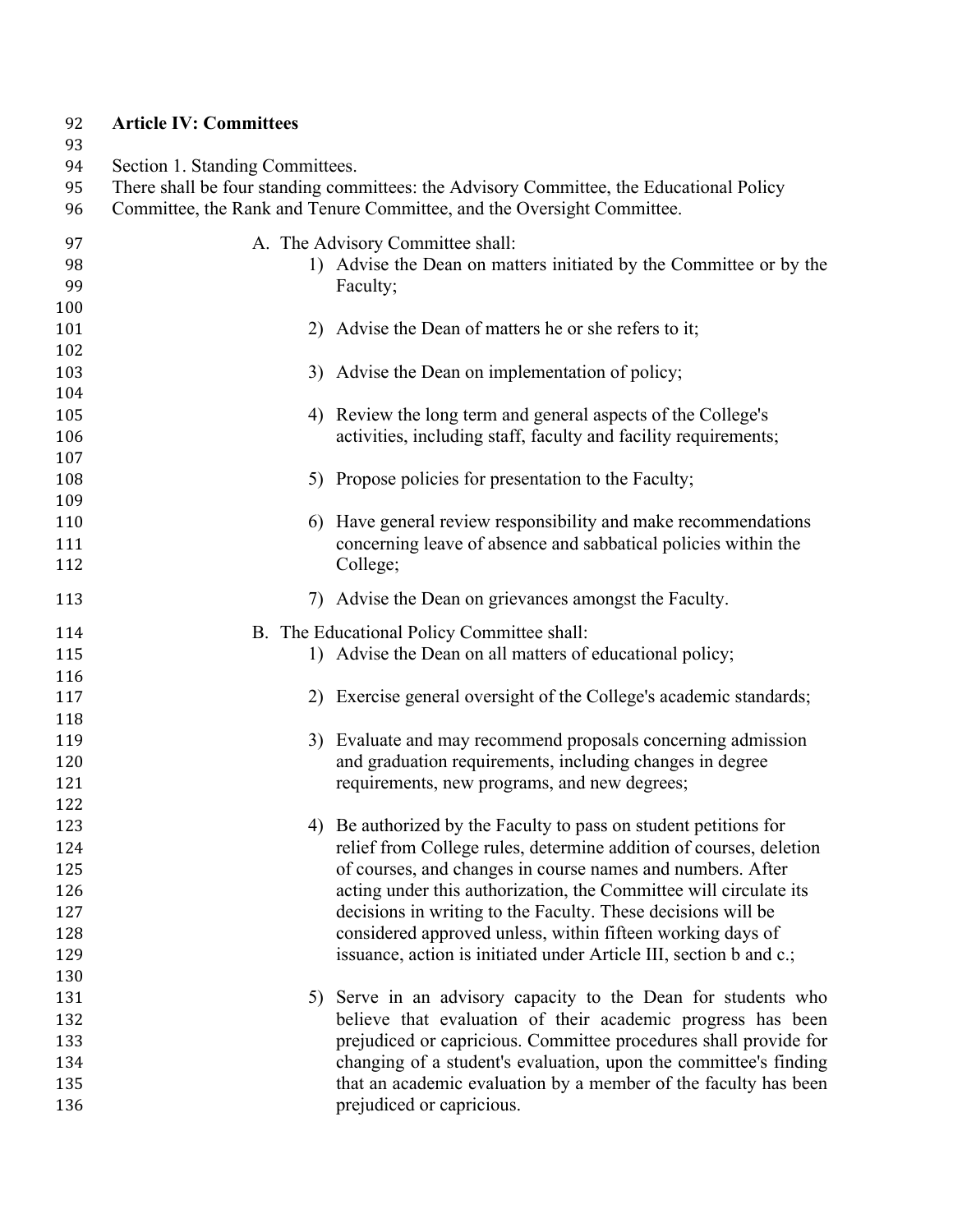## **Article IV: Committees**

93<br>94<br>95

Section 1. Standing Committees.

| 95<br>96              | There shall be four standing committees: the Advisory Committee, the Educational Policy<br>Committee, the Rank and Tenure Committee, and the Oversight Committee. |                                                                                                                                      |  |
|-----------------------|-------------------------------------------------------------------------------------------------------------------------------------------------------------------|--------------------------------------------------------------------------------------------------------------------------------------|--|
| 97<br>98<br>99<br>100 |                                                                                                                                                                   | A. The Advisory Committee shall:<br>1) Advise the Dean on matters initiated by the Committee or by the<br>Faculty;                   |  |
| 101<br>102            | 2)                                                                                                                                                                | Advise the Dean of matters he or she refers to it;                                                                                   |  |
| 103<br>104            |                                                                                                                                                                   | 3) Advise the Dean on implementation of policy;                                                                                      |  |
| 105<br>106            |                                                                                                                                                                   | 4) Review the long term and general aspects of the College's<br>activities, including staff, faculty and facility requirements;      |  |
| 107<br>108            |                                                                                                                                                                   | 5) Propose policies for presentation to the Faculty;                                                                                 |  |
| 109<br>110            | 6)                                                                                                                                                                | Have general review responsibility and make recommendations                                                                          |  |
| 111<br>112            |                                                                                                                                                                   | concerning leave of absence and sabbatical policies within the<br>College;                                                           |  |
| 113                   | 7)                                                                                                                                                                | Advise the Dean on grievances amongst the Faculty.                                                                                   |  |
| 114<br>115            |                                                                                                                                                                   | B. The Educational Policy Committee shall:<br>1) Advise the Dean on all matters of educational policy;                               |  |
| 116<br>117            |                                                                                                                                                                   | 2) Exercise general oversight of the College's academic standards;                                                                   |  |
| 118<br>119<br>120     |                                                                                                                                                                   | 3) Evaluate and may recommend proposals concerning admission<br>and graduation requirements, including changes in degree             |  |
| 121<br>122            | requirements, new programs, and new degrees;                                                                                                                      |                                                                                                                                      |  |
| 123<br>124            | 4)                                                                                                                                                                | Be authorized by the Faculty to pass on student petitions for<br>relief from College rules, determine addition of courses, deletion  |  |
| 125<br>126            |                                                                                                                                                                   | of courses, and changes in course names and numbers. After<br>acting under this authorization, the Committee will circulate its      |  |
| 127<br>128            |                                                                                                                                                                   | decisions in writing to the Faculty. These decisions will be<br>considered approved unless, within fifteen working days of           |  |
| 129<br>130            |                                                                                                                                                                   | issuance, action is initiated under Article III, section b and c.;                                                                   |  |
| 131<br>132            |                                                                                                                                                                   | 5) Serve in an advisory capacity to the Dean for students who<br>believe that evaluation of their academic progress has been         |  |
| 133<br>134            |                                                                                                                                                                   | prejudiced or capricious. Committee procedures shall provide for<br>changing of a student's evaluation, upon the committee's finding |  |
| 135<br>136            |                                                                                                                                                                   | that an academic evaluation by a member of the faculty has been<br>prejudiced or capricious.                                         |  |
|                       |                                                                                                                                                                   |                                                                                                                                      |  |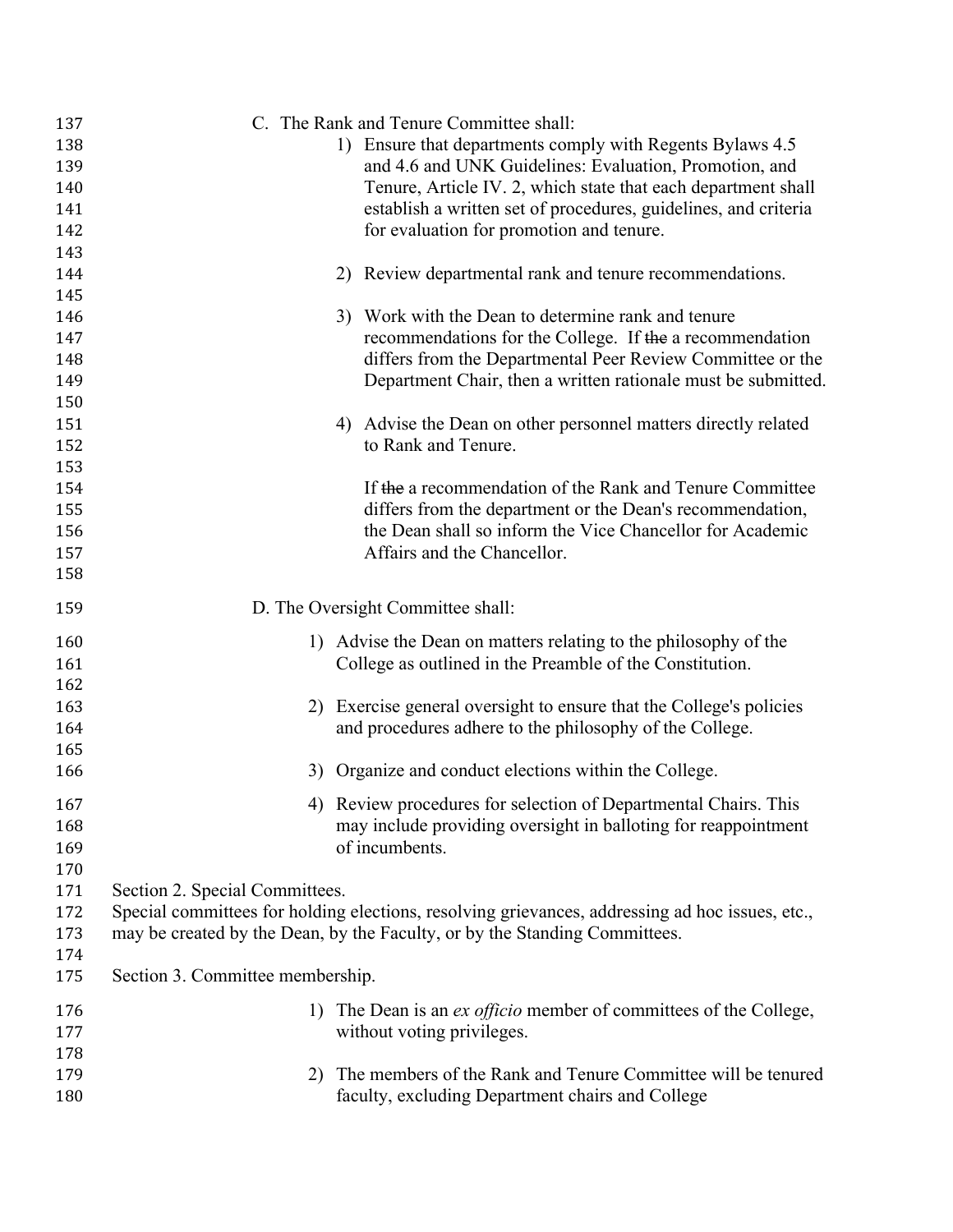| 137 |                                                                 | C. The Rank and Tenure Committee shall:                                                         |  |
|-----|-----------------------------------------------------------------|-------------------------------------------------------------------------------------------------|--|
| 138 | 1) Ensure that departments comply with Regents Bylaws 4.5       |                                                                                                 |  |
| 139 | and 4.6 and UNK Guidelines: Evaluation, Promotion, and          |                                                                                                 |  |
| 140 | Tenure, Article IV. 2, which state that each department shall   |                                                                                                 |  |
| 141 | establish a written set of procedures, guidelines, and criteria |                                                                                                 |  |
| 142 |                                                                 | for evaluation for promotion and tenure.                                                        |  |
| 143 |                                                                 |                                                                                                 |  |
| 144 |                                                                 | 2) Review departmental rank and tenure recommendations.                                         |  |
| 145 |                                                                 |                                                                                                 |  |
| 146 |                                                                 | 3) Work with the Dean to determine rank and tenure                                              |  |
| 147 |                                                                 | recommendations for the College. If the a recommendation                                        |  |
| 148 |                                                                 | differs from the Departmental Peer Review Committee or the                                      |  |
| 149 |                                                                 | Department Chair, then a written rationale must be submitted.                                   |  |
| 150 |                                                                 |                                                                                                 |  |
| 151 |                                                                 | 4) Advise the Dean on other personnel matters directly related                                  |  |
| 152 |                                                                 | to Rank and Tenure.                                                                             |  |
| 153 |                                                                 |                                                                                                 |  |
| 154 |                                                                 | If the a recommendation of the Rank and Tenure Committee                                        |  |
| 155 |                                                                 | differs from the department or the Dean's recommendation,                                       |  |
| 156 |                                                                 | the Dean shall so inform the Vice Chancellor for Academic                                       |  |
| 157 |                                                                 | Affairs and the Chancellor.                                                                     |  |
| 158 |                                                                 |                                                                                                 |  |
| 159 |                                                                 | D. The Oversight Committee shall:                                                               |  |
| 160 |                                                                 | 1) Advise the Dean on matters relating to the philosophy of the                                 |  |
| 161 |                                                                 | College as outlined in the Preamble of the Constitution.                                        |  |
| 162 |                                                                 |                                                                                                 |  |
| 163 |                                                                 | 2) Exercise general oversight to ensure that the College's policies                             |  |
| 164 |                                                                 | and procedures adhere to the philosophy of the College.                                         |  |
| 165 |                                                                 |                                                                                                 |  |
| 166 |                                                                 | 3) Organize and conduct elections within the College.                                           |  |
| 167 |                                                                 | 4) Review procedures for selection of Departmental Chairs. This                                 |  |
| 168 |                                                                 | may include providing oversight in balloting for reappointment                                  |  |
| 169 |                                                                 | of incumbents.                                                                                  |  |
| 170 |                                                                 |                                                                                                 |  |
| 171 | Section 2. Special Committees.                                  |                                                                                                 |  |
| 172 |                                                                 | Special committees for holding elections, resolving grievances, addressing ad hoc issues, etc., |  |
| 173 |                                                                 | may be created by the Dean, by the Faculty, or by the Standing Committees.                      |  |
| 174 |                                                                 |                                                                                                 |  |
| 175 | Section 3. Committee membership.                                |                                                                                                 |  |
| 176 | 1)                                                              | The Dean is an <i>ex officio</i> member of committees of the College,                           |  |
| 177 |                                                                 | without voting privileges.                                                                      |  |
| 178 |                                                                 |                                                                                                 |  |
| 179 | 2)                                                              | The members of the Rank and Tenure Committee will be tenured                                    |  |
| 180 |                                                                 | faculty, excluding Department chairs and College                                                |  |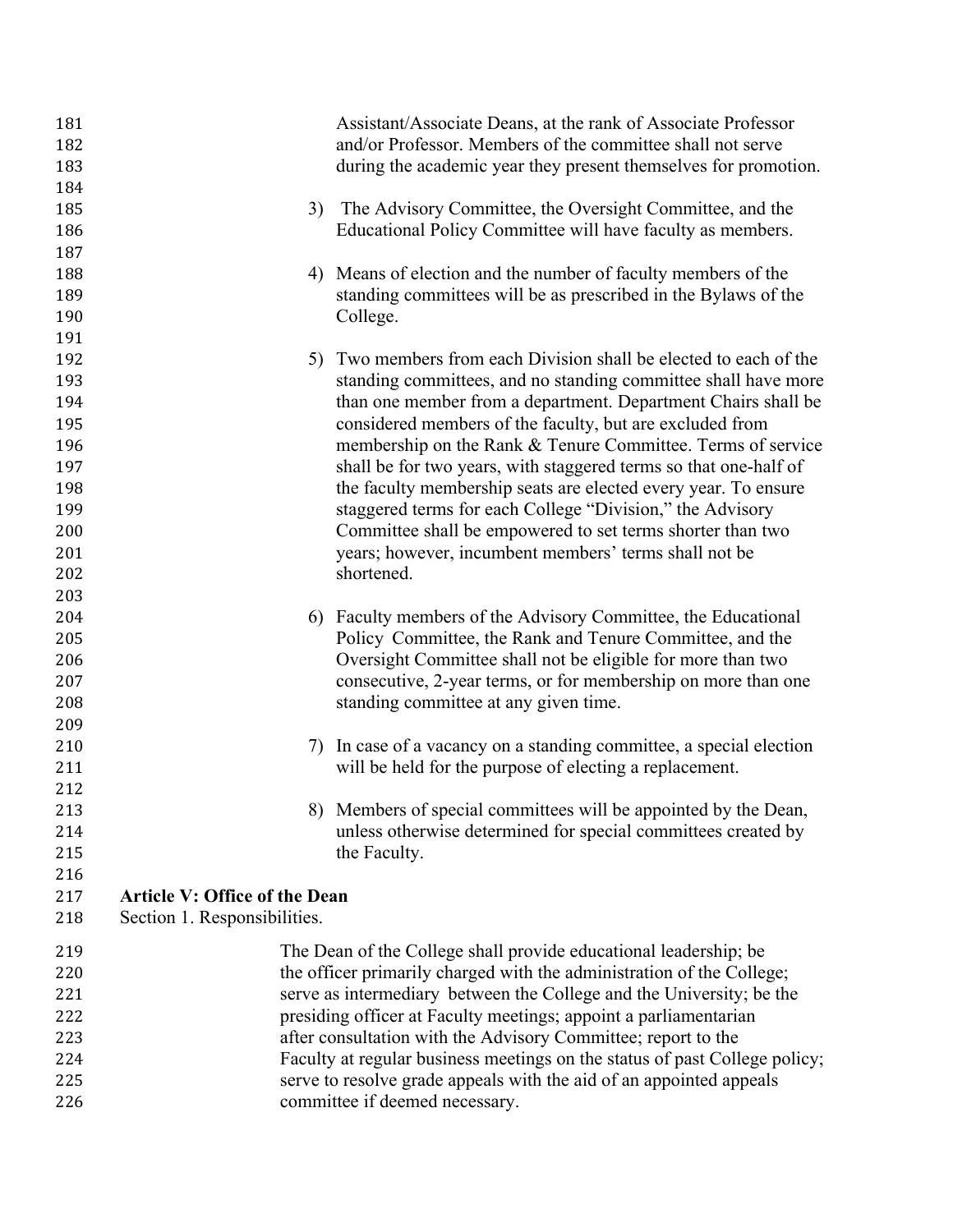| 181 |                                      | Assistant/Associate Deans, at the rank of Associate Professor              |
|-----|--------------------------------------|----------------------------------------------------------------------------|
| 182 |                                      | and/or Professor. Members of the committee shall not serve                 |
| 183 |                                      | during the academic year they present themselves for promotion.            |
| 184 |                                      |                                                                            |
| 185 | 3)                                   | The Advisory Committee, the Oversight Committee, and the                   |
| 186 |                                      | Educational Policy Committee will have faculty as members.                 |
| 187 |                                      |                                                                            |
| 188 | 4)                                   | Means of election and the number of faculty members of the                 |
| 189 |                                      | standing committees will be as prescribed in the Bylaws of the             |
| 190 |                                      | College.                                                                   |
| 191 |                                      |                                                                            |
| 192 |                                      | 5) Two members from each Division shall be elected to each of the          |
| 193 |                                      | standing committees, and no standing committee shall have more             |
| 194 |                                      | than one member from a department. Department Chairs shall be              |
| 195 |                                      | considered members of the faculty, but are excluded from                   |
| 196 |                                      | membership on the Rank & Tenure Committee. Terms of service                |
| 197 |                                      | shall be for two years, with staggered terms so that one-half of           |
| 198 |                                      | the faculty membership seats are elected every year. To ensure             |
| 199 |                                      | staggered terms for each College "Division," the Advisory                  |
| 200 |                                      | Committee shall be empowered to set terms shorter than two                 |
| 201 |                                      | years; however, incumbent members' terms shall not be                      |
| 202 |                                      | shortened.                                                                 |
| 203 |                                      |                                                                            |
| 204 | 6)                                   | Faculty members of the Advisory Committee, the Educational                 |
| 205 |                                      | Policy Committee, the Rank and Tenure Committee, and the                   |
| 206 |                                      | Oversight Committee shall not be eligible for more than two                |
| 207 |                                      | consecutive, 2-year terms, or for membership on more than one              |
| 208 |                                      | standing committee at any given time.                                      |
| 209 |                                      |                                                                            |
| 210 | 7)                                   | In case of a vacancy on a standing committee, a special election           |
| 211 |                                      | will be held for the purpose of electing a replacement.                    |
| 212 |                                      |                                                                            |
| 213 | 8)                                   | Members of special committees will be appointed by the Dean,               |
| 214 |                                      | unless otherwise determined for special committees created by              |
| 215 |                                      | the Faculty.                                                               |
| 216 |                                      |                                                                            |
| 217 | <b>Article V: Office of the Dean</b> |                                                                            |
| 218 | Section 1. Responsibilities.         |                                                                            |
| 219 |                                      | The Dean of the College shall provide educational leadership; be           |
| 220 |                                      | the officer primarily charged with the administration of the College;      |
| 221 |                                      | serve as intermediary between the College and the University; be the       |
| 222 |                                      | presiding officer at Faculty meetings; appoint a parliamentarian           |
| 223 |                                      | after consultation with the Advisory Committee; report to the              |
| 224 |                                      | Faculty at regular business meetings on the status of past College policy; |
| 225 |                                      | serve to resolve grade appeals with the aid of an appointed appeals        |
| 226 |                                      | committee if deemed necessary.                                             |
|     |                                      |                                                                            |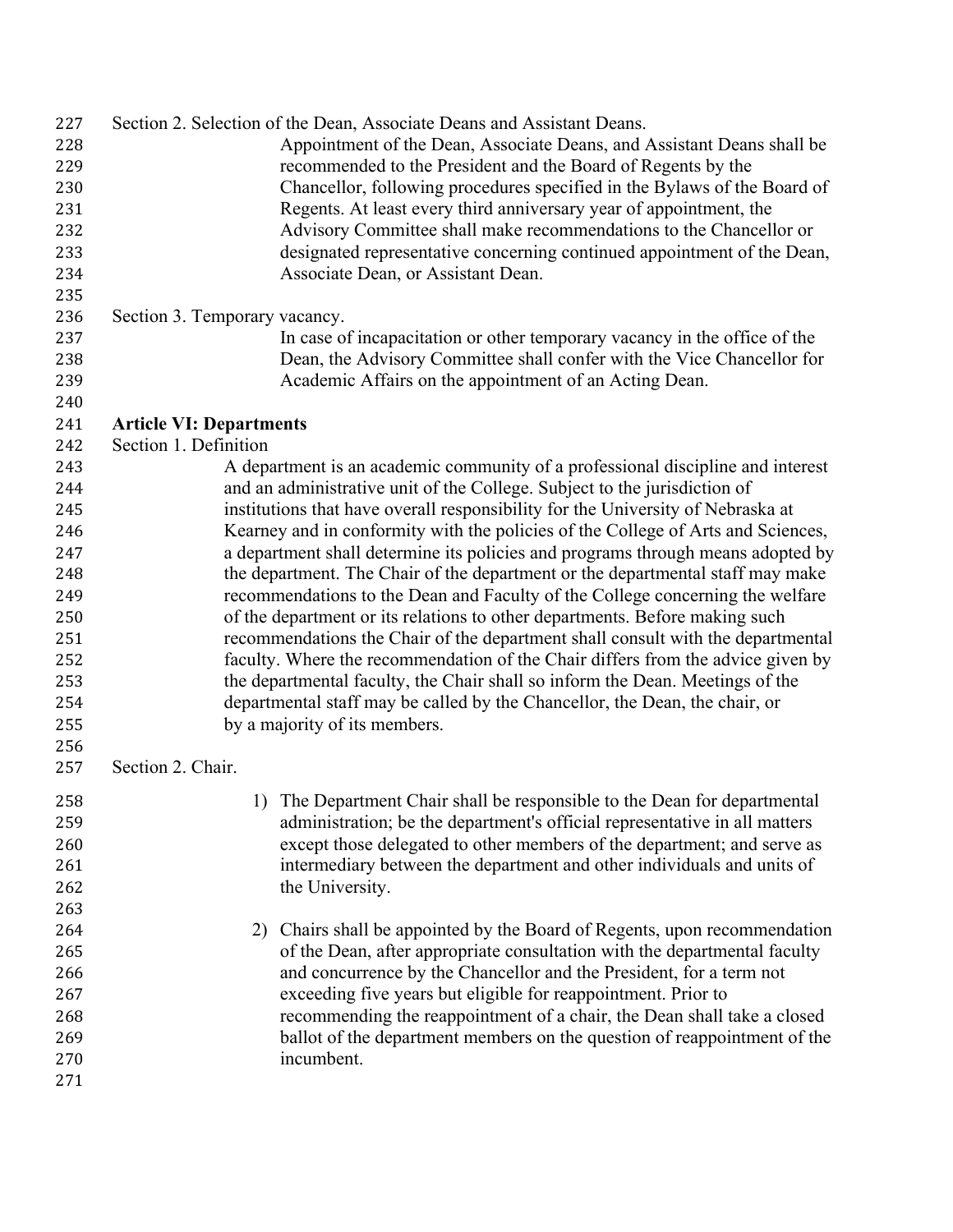| 227<br>228<br>229<br>230<br>231<br>232<br>233<br>234<br>235<br>236<br>237<br>238 | Section 2. Selection of the Dean, Associate Deans and Assistant Deans.<br>Appointment of the Dean, Associate Deans, and Assistant Deans shall be<br>recommended to the President and the Board of Regents by the<br>Chancellor, following procedures specified in the Bylaws of the Board of<br>Regents. At least every third anniversary year of appointment, the<br>Advisory Committee shall make recommendations to the Chancellor or<br>designated representative concerning continued appointment of the Dean,<br>Associate Dean, or Assistant Dean.<br>Section 3. Temporary vacancy.<br>In case of incapacitation or other temporary vacancy in the office of the<br>Dean, the Advisory Committee shall confer with the Vice Chancellor for |  |  |
|----------------------------------------------------------------------------------|---------------------------------------------------------------------------------------------------------------------------------------------------------------------------------------------------------------------------------------------------------------------------------------------------------------------------------------------------------------------------------------------------------------------------------------------------------------------------------------------------------------------------------------------------------------------------------------------------------------------------------------------------------------------------------------------------------------------------------------------------|--|--|
| 239<br>240                                                                       | Academic Affairs on the appointment of an Acting Dean.                                                                                                                                                                                                                                                                                                                                                                                                                                                                                                                                                                                                                                                                                            |  |  |
| 241<br>242                                                                       | <b>Article VI: Departments</b><br>Section 1. Definition                                                                                                                                                                                                                                                                                                                                                                                                                                                                                                                                                                                                                                                                                           |  |  |
| 243                                                                              | A department is an academic community of a professional discipline and interest                                                                                                                                                                                                                                                                                                                                                                                                                                                                                                                                                                                                                                                                   |  |  |
| 244                                                                              | and an administrative unit of the College. Subject to the jurisdiction of                                                                                                                                                                                                                                                                                                                                                                                                                                                                                                                                                                                                                                                                         |  |  |
| 245                                                                              | institutions that have overall responsibility for the University of Nebraska at                                                                                                                                                                                                                                                                                                                                                                                                                                                                                                                                                                                                                                                                   |  |  |
| 246                                                                              | Kearney and in conformity with the policies of the College of Arts and Sciences,                                                                                                                                                                                                                                                                                                                                                                                                                                                                                                                                                                                                                                                                  |  |  |
| 247                                                                              | a department shall determine its policies and programs through means adopted by                                                                                                                                                                                                                                                                                                                                                                                                                                                                                                                                                                                                                                                                   |  |  |
| 248                                                                              | the department. The Chair of the department or the departmental staff may make                                                                                                                                                                                                                                                                                                                                                                                                                                                                                                                                                                                                                                                                    |  |  |
| 249                                                                              | recommendations to the Dean and Faculty of the College concerning the welfare                                                                                                                                                                                                                                                                                                                                                                                                                                                                                                                                                                                                                                                                     |  |  |
| 250                                                                              | of the department or its relations to other departments. Before making such                                                                                                                                                                                                                                                                                                                                                                                                                                                                                                                                                                                                                                                                       |  |  |
| 251                                                                              | recommendations the Chair of the department shall consult with the departmental                                                                                                                                                                                                                                                                                                                                                                                                                                                                                                                                                                                                                                                                   |  |  |
| 252                                                                              | faculty. Where the recommendation of the Chair differs from the advice given by                                                                                                                                                                                                                                                                                                                                                                                                                                                                                                                                                                                                                                                                   |  |  |
| 253                                                                              | the departmental faculty, the Chair shall so inform the Dean. Meetings of the                                                                                                                                                                                                                                                                                                                                                                                                                                                                                                                                                                                                                                                                     |  |  |
| 254                                                                              | departmental staff may be called by the Chancellor, the Dean, the chair, or                                                                                                                                                                                                                                                                                                                                                                                                                                                                                                                                                                                                                                                                       |  |  |
| 255                                                                              | by a majority of its members.                                                                                                                                                                                                                                                                                                                                                                                                                                                                                                                                                                                                                                                                                                                     |  |  |
| 256                                                                              |                                                                                                                                                                                                                                                                                                                                                                                                                                                                                                                                                                                                                                                                                                                                                   |  |  |
| 257                                                                              | Section 2. Chair.                                                                                                                                                                                                                                                                                                                                                                                                                                                                                                                                                                                                                                                                                                                                 |  |  |
| 258                                                                              | 1) The Department Chair shall be responsible to the Dean for departmental                                                                                                                                                                                                                                                                                                                                                                                                                                                                                                                                                                                                                                                                         |  |  |
| 259                                                                              | administration; be the department's official representative in all matters                                                                                                                                                                                                                                                                                                                                                                                                                                                                                                                                                                                                                                                                        |  |  |
| 260                                                                              | except those delegated to other members of the department; and serve as                                                                                                                                                                                                                                                                                                                                                                                                                                                                                                                                                                                                                                                                           |  |  |
| 261                                                                              | intermediary between the department and other individuals and units of                                                                                                                                                                                                                                                                                                                                                                                                                                                                                                                                                                                                                                                                            |  |  |
| 262                                                                              | the University.                                                                                                                                                                                                                                                                                                                                                                                                                                                                                                                                                                                                                                                                                                                                   |  |  |
| 263                                                                              |                                                                                                                                                                                                                                                                                                                                                                                                                                                                                                                                                                                                                                                                                                                                                   |  |  |
| 264                                                                              | Chairs shall be appointed by the Board of Regents, upon recommendation<br>2)                                                                                                                                                                                                                                                                                                                                                                                                                                                                                                                                                                                                                                                                      |  |  |
| 265                                                                              | of the Dean, after appropriate consultation with the departmental faculty                                                                                                                                                                                                                                                                                                                                                                                                                                                                                                                                                                                                                                                                         |  |  |
| 266                                                                              | and concurrence by the Chancellor and the President, for a term not                                                                                                                                                                                                                                                                                                                                                                                                                                                                                                                                                                                                                                                                               |  |  |
| 267                                                                              | exceeding five years but eligible for reappointment. Prior to                                                                                                                                                                                                                                                                                                                                                                                                                                                                                                                                                                                                                                                                                     |  |  |
| 268                                                                              | recommending the reappointment of a chair, the Dean shall take a closed                                                                                                                                                                                                                                                                                                                                                                                                                                                                                                                                                                                                                                                                           |  |  |
| 269                                                                              | ballot of the department members on the question of reappointment of the                                                                                                                                                                                                                                                                                                                                                                                                                                                                                                                                                                                                                                                                          |  |  |
| 270                                                                              | incumbent.                                                                                                                                                                                                                                                                                                                                                                                                                                                                                                                                                                                                                                                                                                                                        |  |  |
| 271                                                                              |                                                                                                                                                                                                                                                                                                                                                                                                                                                                                                                                                                                                                                                                                                                                                   |  |  |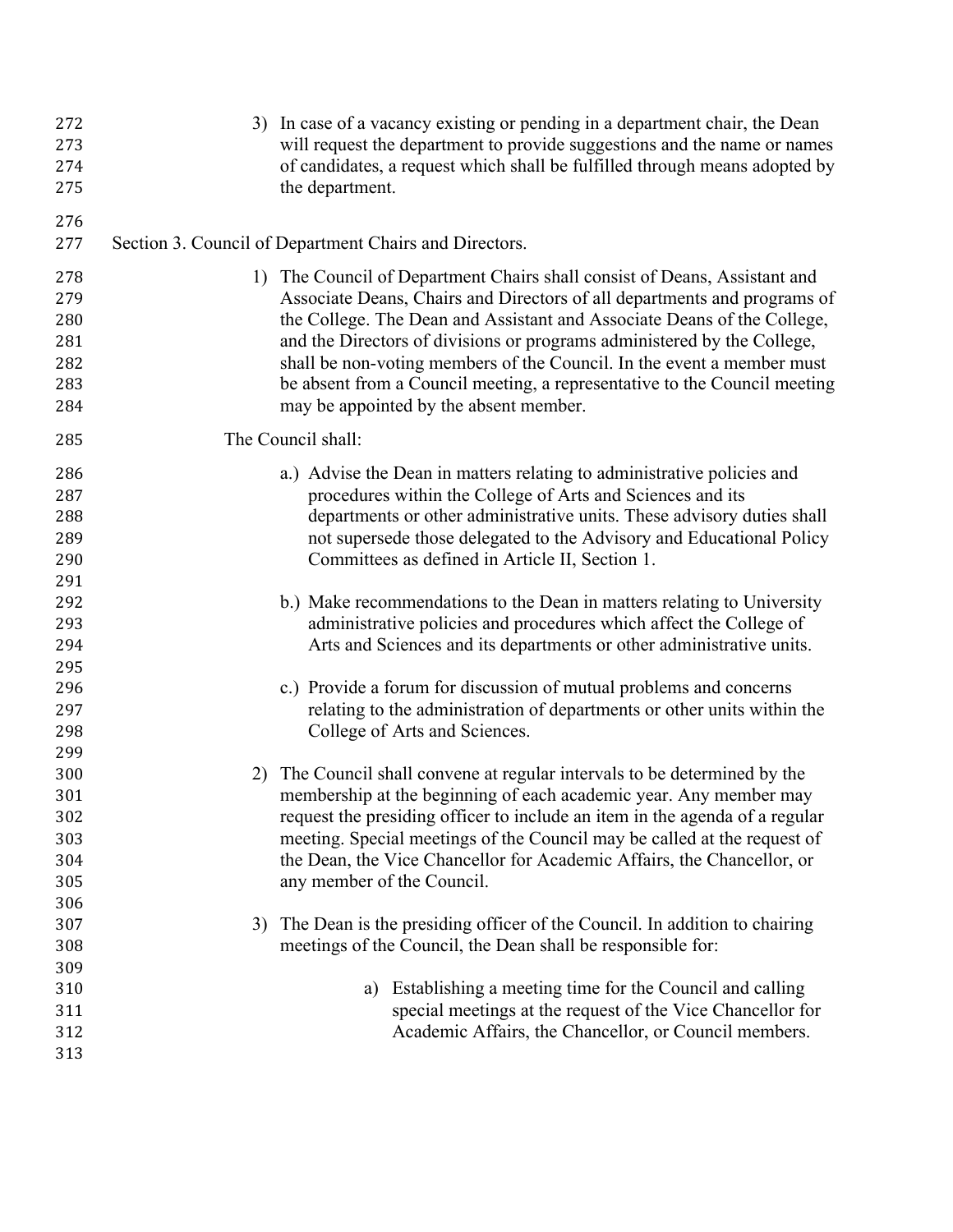| 272<br>273<br>274<br>275 |    | 3) In case of a vacancy existing or pending in a department chair, the Dean<br>will request the department to provide suggestions and the name or names<br>of candidates, a request which shall be fulfilled through means adopted by<br>the department. |
|--------------------------|----|----------------------------------------------------------------------------------------------------------------------------------------------------------------------------------------------------------------------------------------------------------|
| 276<br>277               |    | Section 3. Council of Department Chairs and Directors.                                                                                                                                                                                                   |
| 278                      |    | 1) The Council of Department Chairs shall consist of Deans, Assistant and                                                                                                                                                                                |
| 279                      |    | Associate Deans, Chairs and Directors of all departments and programs of                                                                                                                                                                                 |
| 280                      |    | the College. The Dean and Assistant and Associate Deans of the College,                                                                                                                                                                                  |
| 281                      |    | and the Directors of divisions or programs administered by the College,                                                                                                                                                                                  |
| 282                      |    | shall be non-voting members of the Council. In the event a member must                                                                                                                                                                                   |
| 283                      |    | be absent from a Council meeting, a representative to the Council meeting                                                                                                                                                                                |
| 284                      |    | may be appointed by the absent member.                                                                                                                                                                                                                   |
| 285                      |    | The Council shall:                                                                                                                                                                                                                                       |
| 286                      |    | a.) Advise the Dean in matters relating to administrative policies and                                                                                                                                                                                   |
| 287                      |    | procedures within the College of Arts and Sciences and its                                                                                                                                                                                               |
| 288                      |    | departments or other administrative units. These advisory duties shall                                                                                                                                                                                   |
| 289                      |    | not supersede those delegated to the Advisory and Educational Policy                                                                                                                                                                                     |
| 290                      |    | Committees as defined in Article II, Section 1.                                                                                                                                                                                                          |
| 291                      |    |                                                                                                                                                                                                                                                          |
| 292                      |    | b.) Make recommendations to the Dean in matters relating to University                                                                                                                                                                                   |
| 293                      |    | administrative policies and procedures which affect the College of                                                                                                                                                                                       |
| 294                      |    | Arts and Sciences and its departments or other administrative units.                                                                                                                                                                                     |
| 295                      |    |                                                                                                                                                                                                                                                          |
| 296<br>297               |    | c.) Provide a forum for discussion of mutual problems and concerns<br>relating to the administration of departments or other units within the                                                                                                            |
| 298                      |    | College of Arts and Sciences.                                                                                                                                                                                                                            |
| 299                      |    |                                                                                                                                                                                                                                                          |
| 300                      | 2) | The Council shall convene at regular intervals to be determined by the                                                                                                                                                                                   |
| 301                      |    | membership at the beginning of each academic year. Any member may                                                                                                                                                                                        |
| 302                      |    | request the presiding officer to include an item in the agenda of a regular                                                                                                                                                                              |
| 303                      |    | meeting. Special meetings of the Council may be called at the request of                                                                                                                                                                                 |
| 304                      |    | the Dean, the Vice Chancellor for Academic Affairs, the Chancellor, or                                                                                                                                                                                   |
| 305                      |    | any member of the Council.                                                                                                                                                                                                                               |
| 306                      |    |                                                                                                                                                                                                                                                          |
| 307                      | 3) | The Dean is the presiding officer of the Council. In addition to chairing                                                                                                                                                                                |
| 308                      |    | meetings of the Council, the Dean shall be responsible for:                                                                                                                                                                                              |
| 309                      |    |                                                                                                                                                                                                                                                          |
| 310                      |    | Establishing a meeting time for the Council and calling<br>a)                                                                                                                                                                                            |
| 311                      |    | special meetings at the request of the Vice Chancellor for                                                                                                                                                                                               |
| 312                      |    | Academic Affairs, the Chancellor, or Council members.                                                                                                                                                                                                    |
| 313                      |    |                                                                                                                                                                                                                                                          |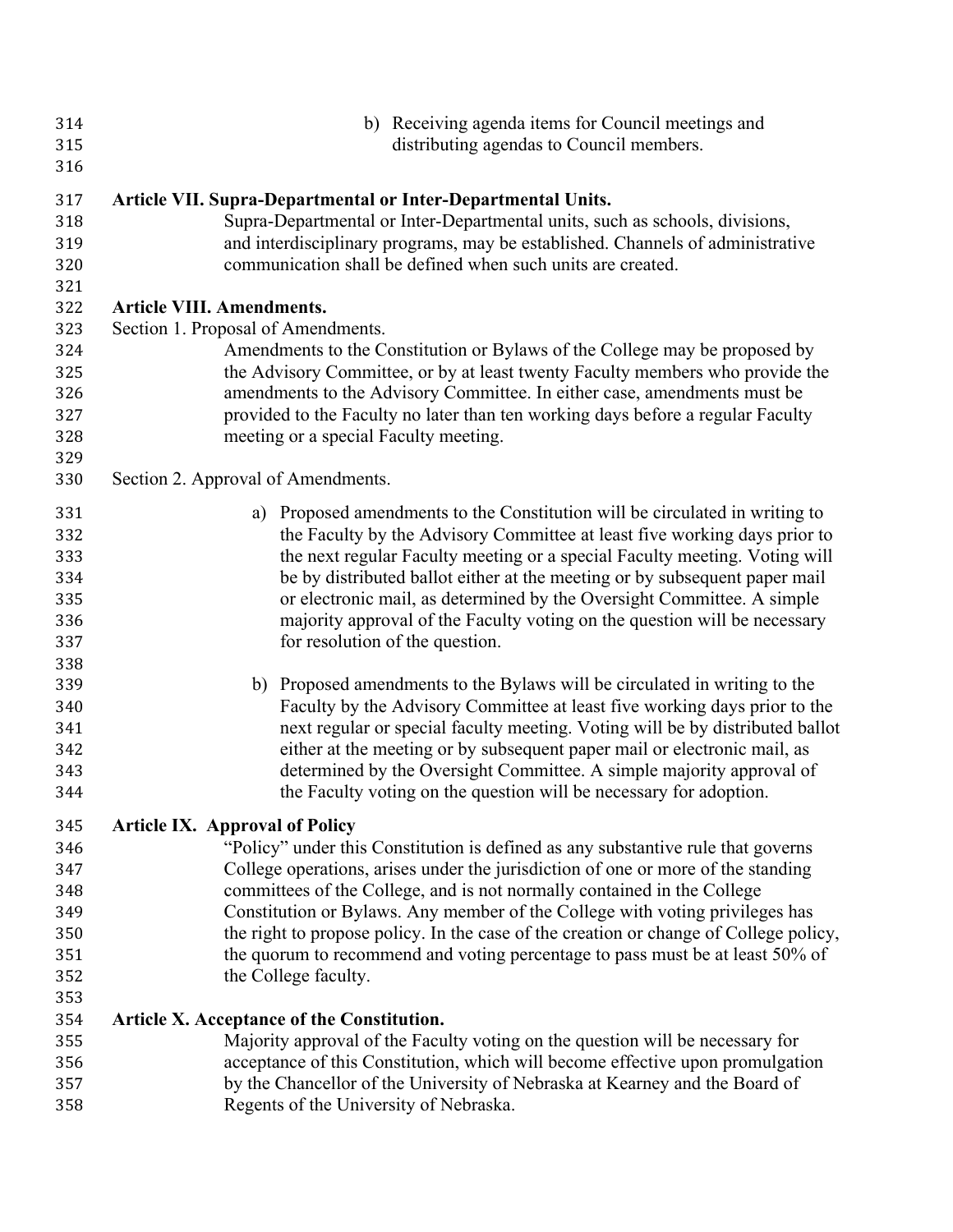| 314<br>315<br>316        | b) Receiving agenda items for Council meetings and<br>distributing agendas to Council members.                                                                                                                                                                                               |
|--------------------------|----------------------------------------------------------------------------------------------------------------------------------------------------------------------------------------------------------------------------------------------------------------------------------------------|
| 317<br>318<br>319<br>320 | Article VII. Supra-Departmental or Inter-Departmental Units.<br>Supra-Departmental or Inter-Departmental units, such as schools, divisions,<br>and interdisciplinary programs, may be established. Channels of administrative<br>communication shall be defined when such units are created. |
| 321                      | <b>Article VIII. Amendments.</b>                                                                                                                                                                                                                                                             |
| 322<br>323               | Section 1. Proposal of Amendments.                                                                                                                                                                                                                                                           |
| 324                      | Amendments to the Constitution or Bylaws of the College may be proposed by                                                                                                                                                                                                                   |
| 325<br>326<br>327        | the Advisory Committee, or by at least twenty Faculty members who provide the<br>amendments to the Advisory Committee. In either case, amendments must be<br>provided to the Faculty no later than ten working days before a regular Faculty                                                 |
| 328                      | meeting or a special Faculty meeting.                                                                                                                                                                                                                                                        |
| 329                      |                                                                                                                                                                                                                                                                                              |
| 330                      | Section 2. Approval of Amendments.                                                                                                                                                                                                                                                           |
| 331<br>332               | a) Proposed amendments to the Constitution will be circulated in writing to<br>the Faculty by the Advisory Committee at least five working days prior to                                                                                                                                     |
| 333                      | the next regular Faculty meeting or a special Faculty meeting. Voting will                                                                                                                                                                                                                   |
| 334<br>335               | be by distributed ballot either at the meeting or by subsequent paper mail<br>or electronic mail, as determined by the Oversight Committee. A simple                                                                                                                                         |
| 336                      | majority approval of the Faculty voting on the question will be necessary                                                                                                                                                                                                                    |
| 337                      | for resolution of the question.                                                                                                                                                                                                                                                              |
| 338                      |                                                                                                                                                                                                                                                                                              |
| 339                      | b) Proposed amendments to the Bylaws will be circulated in writing to the                                                                                                                                                                                                                    |
| 340                      | Faculty by the Advisory Committee at least five working days prior to the                                                                                                                                                                                                                    |
| 341                      | next regular or special faculty meeting. Voting will be by distributed ballot                                                                                                                                                                                                                |
| 342                      | either at the meeting or by subsequent paper mail or electronic mail, as                                                                                                                                                                                                                     |
| 343                      | determined by the Oversight Committee. A simple majority approval of                                                                                                                                                                                                                         |
| 344                      | the Faculty voting on the question will be necessary for adoption.                                                                                                                                                                                                                           |
| 345                      | <b>Article IX. Approval of Policy</b>                                                                                                                                                                                                                                                        |
| 346                      | "Policy" under this Constitution is defined as any substantive rule that governs                                                                                                                                                                                                             |
| 347                      | College operations, arises under the jurisdiction of one or more of the standing                                                                                                                                                                                                             |
| 348                      | committees of the College, and is not normally contained in the College                                                                                                                                                                                                                      |
| 349                      | Constitution or Bylaws. Any member of the College with voting privileges has                                                                                                                                                                                                                 |
| 350                      | the right to propose policy. In the case of the creation or change of College policy,                                                                                                                                                                                                        |
| 351                      | the quorum to recommend and voting percentage to pass must be at least 50% of                                                                                                                                                                                                                |
| 352                      | the College faculty.                                                                                                                                                                                                                                                                         |
| 353                      |                                                                                                                                                                                                                                                                                              |
| 354                      | Article X. Acceptance of the Constitution.                                                                                                                                                                                                                                                   |
| 355                      | Majority approval of the Faculty voting on the question will be necessary for                                                                                                                                                                                                                |
| 356<br>357               | acceptance of this Constitution, which will become effective upon promulgation<br>by the Chancellor of the University of Nebraska at Kearney and the Board of                                                                                                                                |
| 358                      | Regents of the University of Nebraska.                                                                                                                                                                                                                                                       |
|                          |                                                                                                                                                                                                                                                                                              |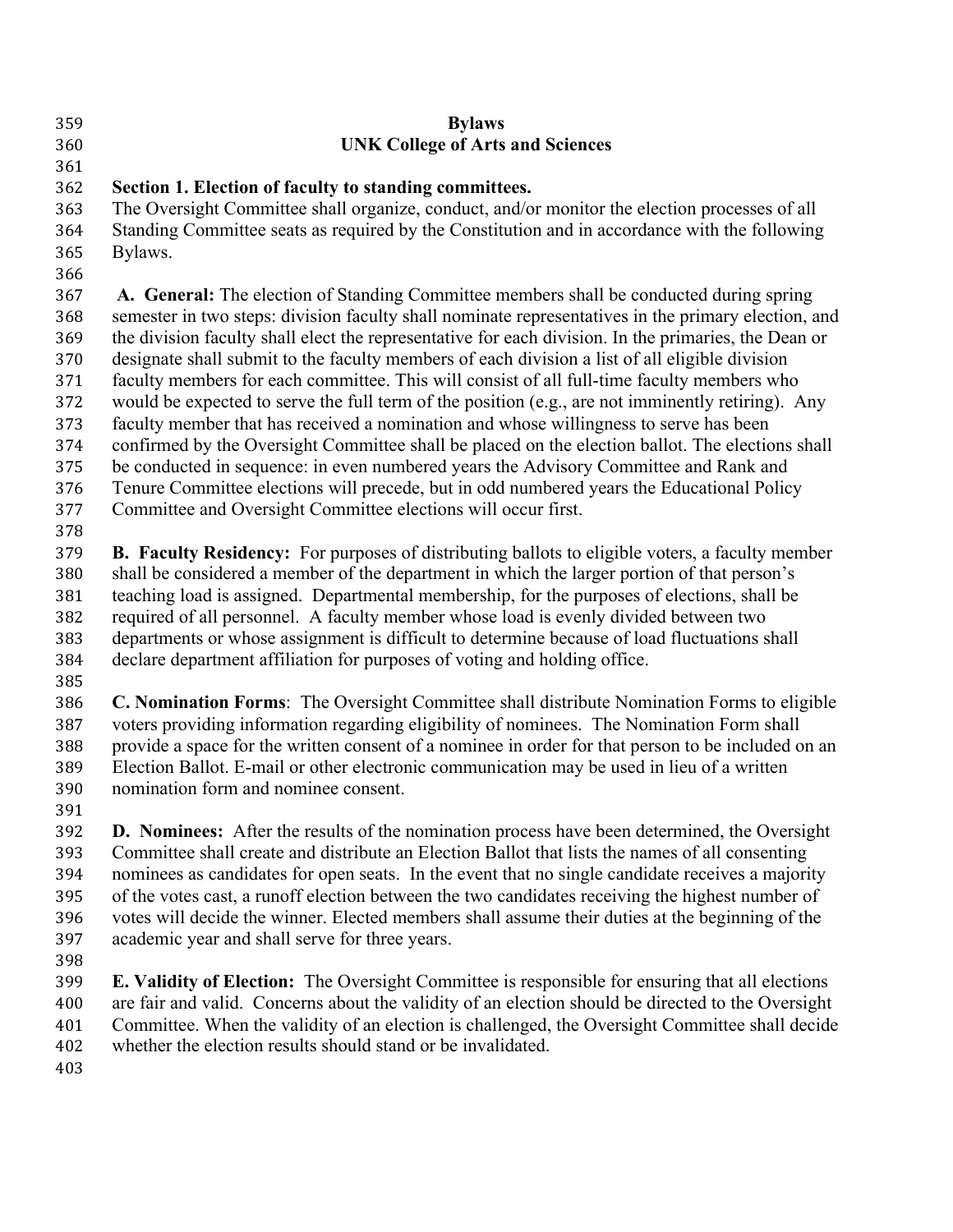| 359<br>360                                                                       | <b>Bylaws</b><br><b>UNK College of Arts and Sciences</b>                                                                                                                                                                                                                                                                                                                                                                                                                                                                                                                                                                                                                                                                                                                                                                                                                                                                                                                                                                                                       |
|----------------------------------------------------------------------------------|----------------------------------------------------------------------------------------------------------------------------------------------------------------------------------------------------------------------------------------------------------------------------------------------------------------------------------------------------------------------------------------------------------------------------------------------------------------------------------------------------------------------------------------------------------------------------------------------------------------------------------------------------------------------------------------------------------------------------------------------------------------------------------------------------------------------------------------------------------------------------------------------------------------------------------------------------------------------------------------------------------------------------------------------------------------|
| 361<br>362<br>363<br>364<br>365<br>366                                           | Section 1. Election of faculty to standing committees.<br>The Oversight Committee shall organize, conduct, and/or monitor the election processes of all<br>Standing Committee seats as required by the Constitution and in accordance with the following<br>Bylaws.                                                                                                                                                                                                                                                                                                                                                                                                                                                                                                                                                                                                                                                                                                                                                                                            |
| 367<br>368<br>369<br>370<br>371<br>372<br>373<br>374<br>375<br>376<br>377<br>378 | A. General: The election of Standing Committee members shall be conducted during spring<br>semester in two steps: division faculty shall nominate representatives in the primary election, and<br>the division faculty shall elect the representative for each division. In the primaries, the Dean or<br>designate shall submit to the faculty members of each division a list of all eligible division<br>faculty members for each committee. This will consist of all full-time faculty members who<br>would be expected to serve the full term of the position (e.g., are not imminently retiring). Any<br>faculty member that has received a nomination and whose willingness to serve has been<br>confirmed by the Oversight Committee shall be placed on the election ballot. The elections shall<br>be conducted in sequence: in even numbered years the Advisory Committee and Rank and<br>Tenure Committee elections will precede, but in odd numbered years the Educational Policy<br>Committee and Oversight Committee elections will occur first. |
| 379<br>380<br>381<br>382<br>383<br>384<br>385                                    | <b>B. Faculty Residency:</b> For purposes of distributing ballots to eligible voters, a faculty member<br>shall be considered a member of the department in which the larger portion of that person's<br>teaching load is assigned. Departmental membership, for the purposes of elections, shall be<br>required of all personnel. A faculty member whose load is evenly divided between two<br>departments or whose assignment is difficult to determine because of load fluctuations shall<br>declare department affiliation for purposes of voting and holding office.                                                                                                                                                                                                                                                                                                                                                                                                                                                                                      |
| 386<br>387<br>388<br>389<br>390<br>391                                           | C. Nomination Forms: The Oversight Committee shall distribute Nomination Forms to eligible<br>voters providing information regarding eligibility of nominees. The Nomination Form shall<br>provide a space for the written consent of a nominee in order for that person to be included on an<br>Election Ballot. E-mail or other electronic communication may be used in lieu of a written<br>nomination form and nominee consent.                                                                                                                                                                                                                                                                                                                                                                                                                                                                                                                                                                                                                            |
| 392<br>393<br>394<br>395<br>396<br>397<br>398                                    | <b>D. Nominees:</b> After the results of the nomination process have been determined, the Oversight<br>Committee shall create and distribute an Election Ballot that lists the names of all consenting<br>nominees as candidates for open seats. In the event that no single candidate receives a majority<br>of the votes cast, a runoff election between the two candidates receiving the highest number of<br>votes will decide the winner. Elected members shall assume their duties at the beginning of the<br>academic year and shall serve for three years.                                                                                                                                                                                                                                                                                                                                                                                                                                                                                             |
| 399                                                                              | <b>E. Validity of Election:</b> The Oversight Committee is responsible for ensuring that all elections                                                                                                                                                                                                                                                                                                                                                                                                                                                                                                                                                                                                                                                                                                                                                                                                                                                                                                                                                         |

- are fair and valid. Concerns about the validity of an election should be directed to the Oversight Committee. When the validity of an election is challenged, the Oversight Committee shall decide
- whether the election results should stand or be invalidated.
-